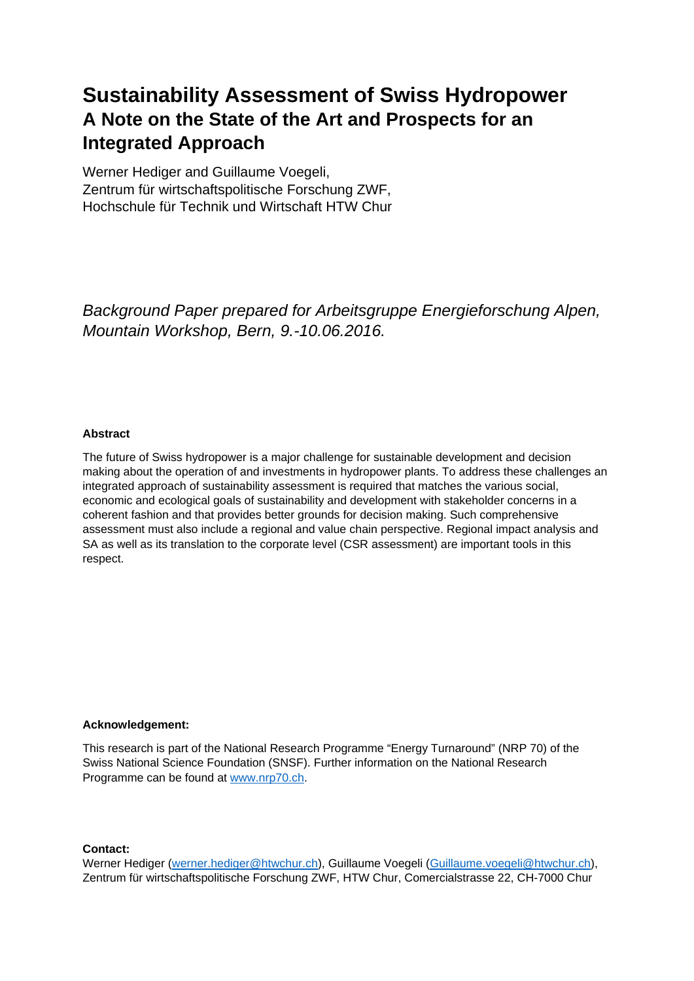# **Sustainability Assessment of Swiss Hydropower A Note on the State of the Art and Prospects for an Integrated Approach**

Werner Hediger and Guillaume Voegeli, Zentrum für wirtschaftspolitische Forschung ZWF, Hochschule für Technik und Wirtschaft HTW Chur

*Background Paper prepared for Arbeitsgruppe Energieforschung Alpen, Mountain Workshop, Bern, 9.-10.06.2016.* 

### **Abstract**

The future of Swiss hydropower is a major challenge for sustainable development and decision making about the operation of and investments in hydropower plants. To address these challenges an integrated approach of sustainability assessment is required that matches the various social, economic and ecological goals of sustainability and development with stakeholder concerns in a coherent fashion and that provides better grounds for decision making. Such comprehensive assessment must also include a regional and value chain perspective. Regional impact analysis and SA as well as its translation to the corporate level (CSR assessment) are important tools in this respect.

### **Acknowledgement:**

This research is part of the National Research Programme "Energy Turnaround" (NRP 70) of the Swiss National Science Foundation (SNSF). Further information on the National Research Programme can be found at www.nrp70.ch.

### **Contact:**

Werner Hediger (werner.hediger@htwchur.ch), Guillaume Voegeli (Guillaume.voegeli@htwchur.ch), Zentrum für wirtschaftspolitische Forschung ZWF, HTW Chur, Comercialstrasse 22, CH-7000 Chur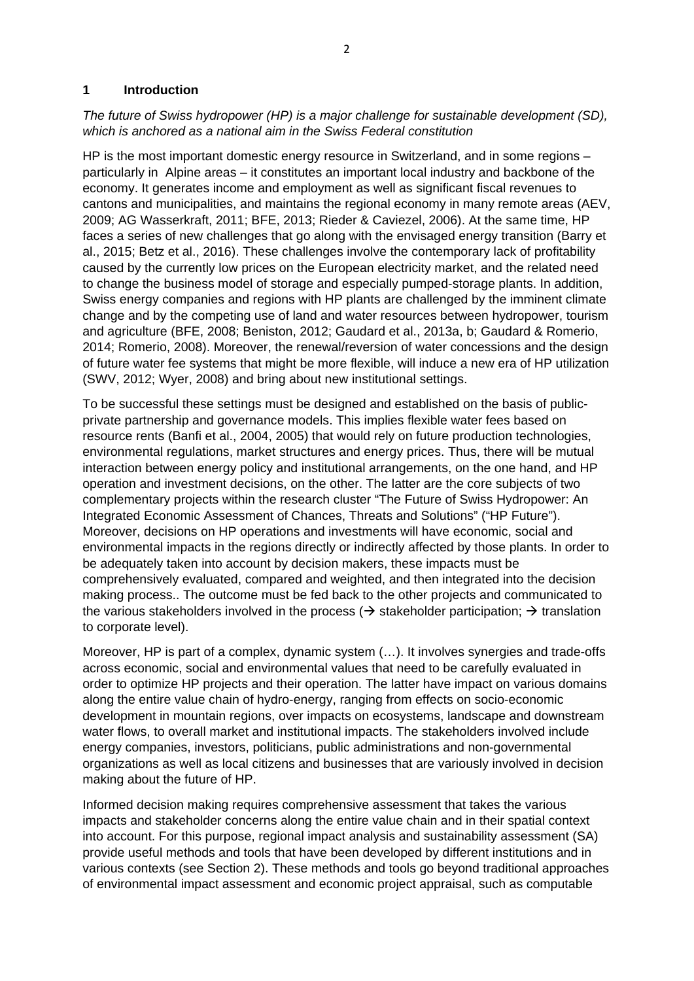## **1 Introduction**

## *The future of Swiss hydropower (HP) is a major challenge for sustainable development (SD), which is anchored as a national aim in the Swiss Federal constitution*

HP is the most important domestic energy resource in Switzerland, and in some regions – particularly in Alpine areas – it constitutes an important local industry and backbone of the economy. It generates income and employment as well as significant fiscal revenues to cantons and municipalities, and maintains the regional economy in many remote areas (AEV, 2009; AG Wasserkraft, 2011; BFE, 2013; Rieder & Caviezel, 2006). At the same time, HP faces a series of new challenges that go along with the envisaged energy transition (Barry et al., 2015; Betz et al., 2016). These challenges involve the contemporary lack of profitability caused by the currently low prices on the European electricity market, and the related need to change the business model of storage and especially pumped-storage plants. In addition, Swiss energy companies and regions with HP plants are challenged by the imminent climate change and by the competing use of land and water resources between hydropower, tourism and agriculture (BFE, 2008; Beniston, 2012; Gaudard et al., 2013a, b; Gaudard & Romerio, 2014; Romerio, 2008). Moreover, the renewal/reversion of water concessions and the design of future water fee systems that might be more flexible, will induce a new era of HP utilization (SWV, 2012; Wyer, 2008) and bring about new institutional settings.

To be successful these settings must be designed and established on the basis of publicprivate partnership and governance models. This implies flexible water fees based on resource rents (Banfi et al., 2004, 2005) that would rely on future production technologies, environmental regulations, market structures and energy prices. Thus, there will be mutual interaction between energy policy and institutional arrangements, on the one hand, and HP operation and investment decisions, on the other. The latter are the core subjects of two complementary projects within the research cluster "The Future of Swiss Hydropower: An Integrated Economic Assessment of Chances, Threats and Solutions" ("HP Future"). Moreover, decisions on HP operations and investments will have economic, social and environmental impacts in the regions directly or indirectly affected by those plants. In order to be adequately taken into account by decision makers, these impacts must be comprehensively evaluated, compared and weighted, and then integrated into the decision making process.. The outcome must be fed back to the other projects and communicated to the various stakeholders involved in the process ( $\rightarrow$  stakeholder participation;  $\rightarrow$  translation to corporate level).

Moreover, HP is part of a complex, dynamic system (…). It involves synergies and trade-offs across economic, social and environmental values that need to be carefully evaluated in order to optimize HP projects and their operation. The latter have impact on various domains along the entire value chain of hydro-energy, ranging from effects on socio-economic development in mountain regions, over impacts on ecosystems, landscape and downstream water flows, to overall market and institutional impacts. The stakeholders involved include energy companies, investors, politicians, public administrations and non-governmental organizations as well as local citizens and businesses that are variously involved in decision making about the future of HP.

Informed decision making requires comprehensive assessment that takes the various impacts and stakeholder concerns along the entire value chain and in their spatial context into account. For this purpose, regional impact analysis and sustainability assessment (SA) provide useful methods and tools that have been developed by different institutions and in various contexts (see Section 2). These methods and tools go beyond traditional approaches of environmental impact assessment and economic project appraisal, such as computable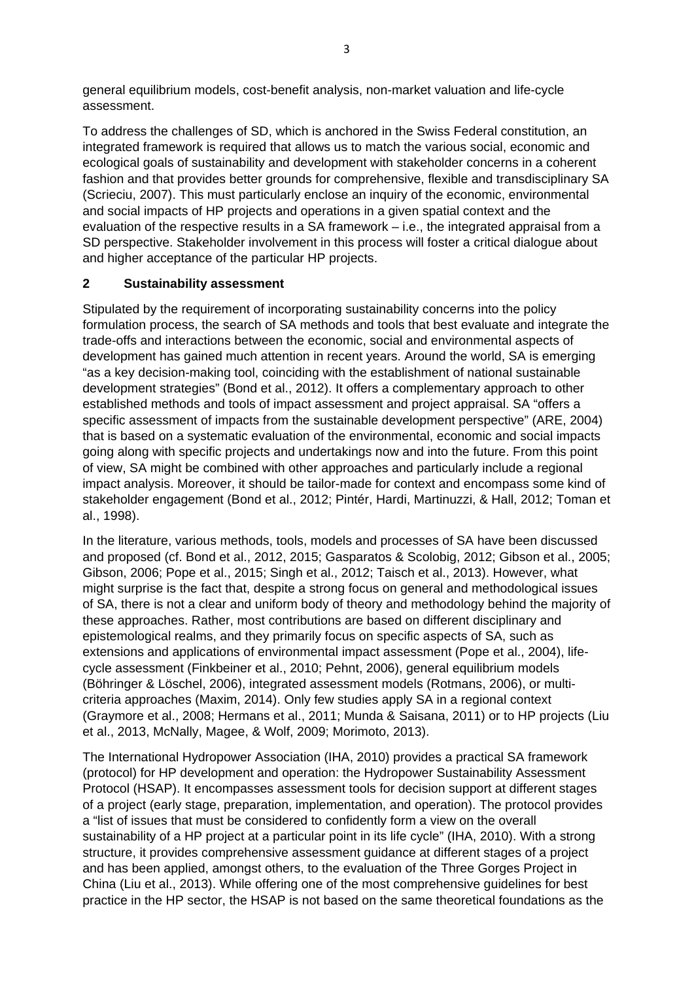general equilibrium models, cost-benefit analysis, non-market valuation and life-cycle assessment.

To address the challenges of SD, which is anchored in the Swiss Federal constitution, an integrated framework is required that allows us to match the various social, economic and ecological goals of sustainability and development with stakeholder concerns in a coherent fashion and that provides better grounds for comprehensive, flexible and transdisciplinary SA (Scrieciu, 2007). This must particularly enclose an inquiry of the economic, environmental and social impacts of HP projects and operations in a given spatial context and the evaluation of the respective results in a SA framework – i.e., the integrated appraisal from a SD perspective. Stakeholder involvement in this process will foster a critical dialogue about and higher acceptance of the particular HP projects.

## **2 Sustainability assessment**

Stipulated by the requirement of incorporating sustainability concerns into the policy formulation process, the search of SA methods and tools that best evaluate and integrate the trade-offs and interactions between the economic, social and environmental aspects of development has gained much attention in recent years. Around the world, SA is emerging "as a key decision-making tool, coinciding with the establishment of national sustainable development strategies" (Bond et al., 2012). It offers a complementary approach to other established methods and tools of impact assessment and project appraisal. SA "offers a specific assessment of impacts from the sustainable development perspective" (ARE, 2004) that is based on a systematic evaluation of the environmental, economic and social impacts going along with specific projects and undertakings now and into the future. From this point of view, SA might be combined with other approaches and particularly include a regional impact analysis. Moreover, it should be tailor-made for context and encompass some kind of stakeholder engagement (Bond et al., 2012; Pintér, Hardi, Martinuzzi, & Hall, 2012; Toman et al., 1998).

In the literature, various methods, tools, models and processes of SA have been discussed and proposed (cf. Bond et al., 2012, 2015; Gasparatos & Scolobig, 2012; Gibson et al., 2005; Gibson, 2006; Pope et al., 2015; Singh et al., 2012; Taisch et al., 2013). However, what might surprise is the fact that, despite a strong focus on general and methodological issues of SA, there is not a clear and uniform body of theory and methodology behind the majority of these approaches. Rather, most contributions are based on different disciplinary and epistemological realms, and they primarily focus on specific aspects of SA, such as extensions and applications of environmental impact assessment (Pope et al., 2004), lifecycle assessment (Finkbeiner et al., 2010; Pehnt, 2006), general equilibrium models (Böhringer & Löschel, 2006), integrated assessment models (Rotmans, 2006), or multicriteria approaches (Maxim, 2014). Only few studies apply SA in a regional context (Graymore et al., 2008; Hermans et al., 2011; Munda & Saisana, 2011) or to HP projects (Liu et al., 2013, McNally, Magee, & Wolf, 2009; Morimoto, 2013).

The International Hydropower Association (IHA, 2010) provides a practical SA framework (protocol) for HP development and operation: the Hydropower Sustainability Assessment Protocol (HSAP). It encompasses assessment tools for decision support at different stages of a project (early stage, preparation, implementation, and operation). The protocol provides a "list of issues that must be considered to confidently form a view on the overall sustainability of a HP project at a particular point in its life cycle" (IHA, 2010). With a strong structure, it provides comprehensive assessment guidance at different stages of a project and has been applied, amongst others, to the evaluation of the Three Gorges Project in China (Liu et al., 2013). While offering one of the most comprehensive guidelines for best practice in the HP sector, the HSAP is not based on the same theoretical foundations as the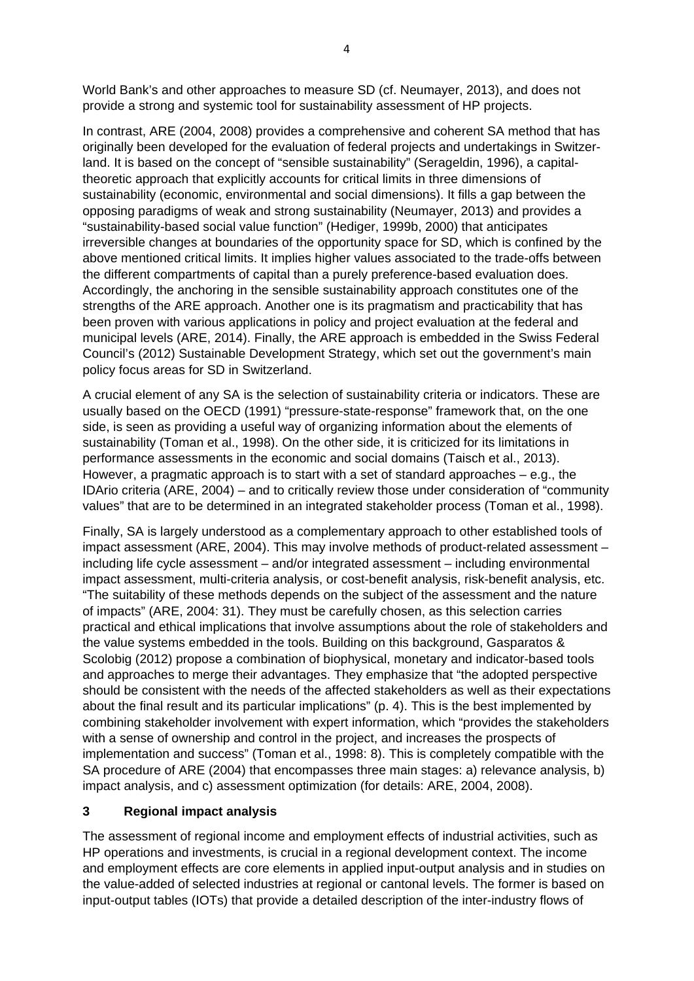World Bank's and other approaches to measure SD (cf. Neumayer, 2013), and does not provide a strong and systemic tool for sustainability assessment of HP projects.

In contrast, ARE (2004, 2008) provides a comprehensive and coherent SA method that has originally been developed for the evaluation of federal projects and undertakings in Switzerland. It is based on the concept of "sensible sustainability" (Serageldin, 1996), a capitaltheoretic approach that explicitly accounts for critical limits in three dimensions of sustainability (economic, environmental and social dimensions). It fills a gap between the opposing paradigms of weak and strong sustainability (Neumayer, 2013) and provides a "sustainability-based social value function" (Hediger, 1999b, 2000) that anticipates irreversible changes at boundaries of the opportunity space for SD, which is confined by the above mentioned critical limits. It implies higher values associated to the trade-offs between the different compartments of capital than a purely preference-based evaluation does. Accordingly, the anchoring in the sensible sustainability approach constitutes one of the strengths of the ARE approach. Another one is its pragmatism and practicability that has been proven with various applications in policy and project evaluation at the federal and municipal levels (ARE, 2014). Finally, the ARE approach is embedded in the Swiss Federal Council's (2012) Sustainable Development Strategy, which set out the government's main policy focus areas for SD in Switzerland.

A crucial element of any SA is the selection of sustainability criteria or indicators. These are usually based on the OECD (1991) "pressure-state-response" framework that, on the one side, is seen as providing a useful way of organizing information about the elements of sustainability (Toman et al., 1998). On the other side, it is criticized for its limitations in performance assessments in the economic and social domains (Taisch et al., 2013). However, a pragmatic approach is to start with a set of standard approaches – e.g., the IDArio criteria (ARE, 2004) – and to critically review those under consideration of "community values" that are to be determined in an integrated stakeholder process (Toman et al., 1998).

Finally, SA is largely understood as a complementary approach to other established tools of impact assessment (ARE, 2004). This may involve methods of product-related assessment – including life cycle assessment – and/or integrated assessment – including environmental impact assessment, multi-criteria analysis, or cost-benefit analysis, risk-benefit analysis, etc. "The suitability of these methods depends on the subject of the assessment and the nature of impacts" (ARE, 2004: 31). They must be carefully chosen, as this selection carries practical and ethical implications that involve assumptions about the role of stakeholders and the value systems embedded in the tools. Building on this background, Gasparatos & Scolobig (2012) propose a combination of biophysical, monetary and indicator-based tools and approaches to merge their advantages. They emphasize that "the adopted perspective should be consistent with the needs of the affected stakeholders as well as their expectations about the final result and its particular implications" (p. 4). This is the best implemented by combining stakeholder involvement with expert information, which "provides the stakeholders with a sense of ownership and control in the project, and increases the prospects of implementation and success" (Toman et al., 1998: 8). This is completely compatible with the SA procedure of ARE (2004) that encompasses three main stages: a) relevance analysis, b) impact analysis, and c) assessment optimization (for details: ARE, 2004, 2008).

# **3 Regional impact analysis**

The assessment of regional income and employment effects of industrial activities, such as HP operations and investments, is crucial in a regional development context. The income and employment effects are core elements in applied input-output analysis and in studies on the value-added of selected industries at regional or cantonal levels. The former is based on input-output tables (IOTs) that provide a detailed description of the inter-industry flows of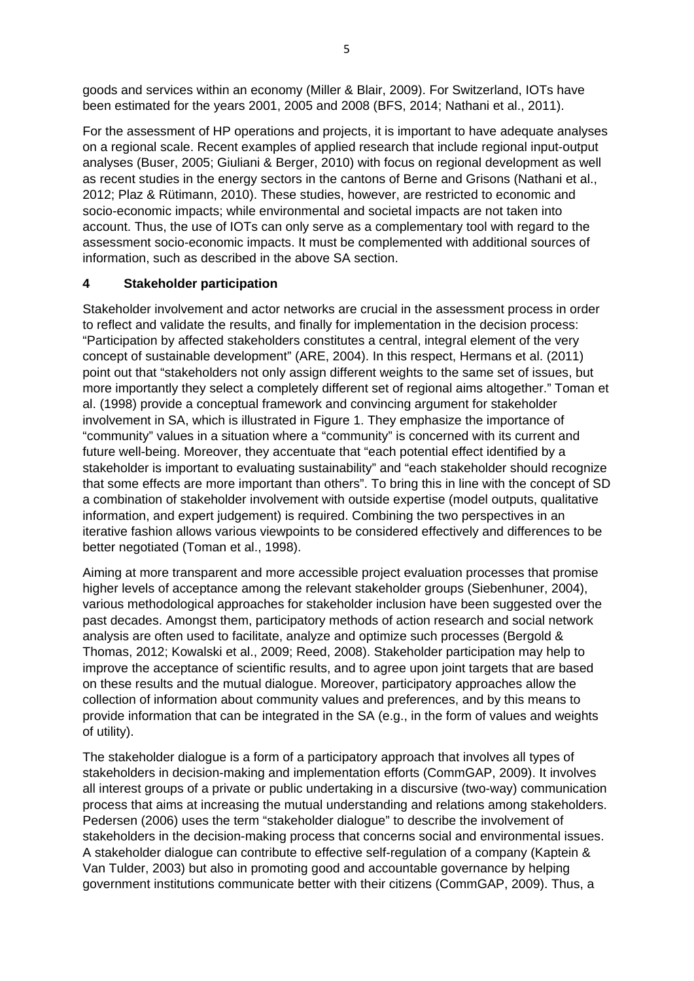goods and services within an economy (Miller & Blair, 2009). For Switzerland, IOTs have been estimated for the years 2001, 2005 and 2008 (BFS, 2014; Nathani et al., 2011).

For the assessment of HP operations and projects, it is important to have adequate analyses on a regional scale. Recent examples of applied research that include regional input-output analyses (Buser, 2005; Giuliani & Berger, 2010) with focus on regional development as well as recent studies in the energy sectors in the cantons of Berne and Grisons (Nathani et al., 2012; Plaz & Rütimann, 2010). These studies, however, are restricted to economic and socio-economic impacts; while environmental and societal impacts are not taken into account. Thus, the use of IOTs can only serve as a complementary tool with regard to the assessment socio-economic impacts. It must be complemented with additional sources of information, such as described in the above SA section.

# **4 Stakeholder participation**

Stakeholder involvement and actor networks are crucial in the assessment process in order to reflect and validate the results, and finally for implementation in the decision process: "Participation by affected stakeholders constitutes a central, integral element of the very concept of sustainable development" (ARE, 2004). In this respect, Hermans et al. (2011) point out that "stakeholders not only assign different weights to the same set of issues, but more importantly they select a completely different set of regional aims altogether." Toman et al. (1998) provide a conceptual framework and convincing argument for stakeholder involvement in SA, which is illustrated in Figure 1. They emphasize the importance of "community" values in a situation where a "community" is concerned with its current and future well-being. Moreover, they accentuate that "each potential effect identified by a stakeholder is important to evaluating sustainability" and "each stakeholder should recognize that some effects are more important than others". To bring this in line with the concept of SD a combination of stakeholder involvement with outside expertise (model outputs, qualitative information, and expert judgement) is required. Combining the two perspectives in an iterative fashion allows various viewpoints to be considered effectively and differences to be better negotiated (Toman et al., 1998).

Aiming at more transparent and more accessible project evaluation processes that promise higher levels of acceptance among the relevant stakeholder groups (Siebenhuner, 2004), various methodological approaches for stakeholder inclusion have been suggested over the past decades. Amongst them, participatory methods of action research and social network analysis are often used to facilitate, analyze and optimize such processes (Bergold & Thomas, 2012; Kowalski et al., 2009; Reed, 2008). Stakeholder participation may help to improve the acceptance of scientific results, and to agree upon joint targets that are based on these results and the mutual dialogue. Moreover, participatory approaches allow the collection of information about community values and preferences, and by this means to provide information that can be integrated in the SA (e.g., in the form of values and weights of utility).

The stakeholder dialogue is a form of a participatory approach that involves all types of stakeholders in decision-making and implementation efforts (CommGAP, 2009). It involves all interest groups of a private or public undertaking in a discursive (two-way) communication process that aims at increasing the mutual understanding and relations among stakeholders. Pedersen (2006) uses the term "stakeholder dialogue" to describe the involvement of stakeholders in the decision-making process that concerns social and environmental issues. A stakeholder dialogue can contribute to effective self-regulation of a company (Kaptein & Van Tulder, 2003) but also in promoting good and accountable governance by helping government institutions communicate better with their citizens (CommGAP, 2009). Thus, a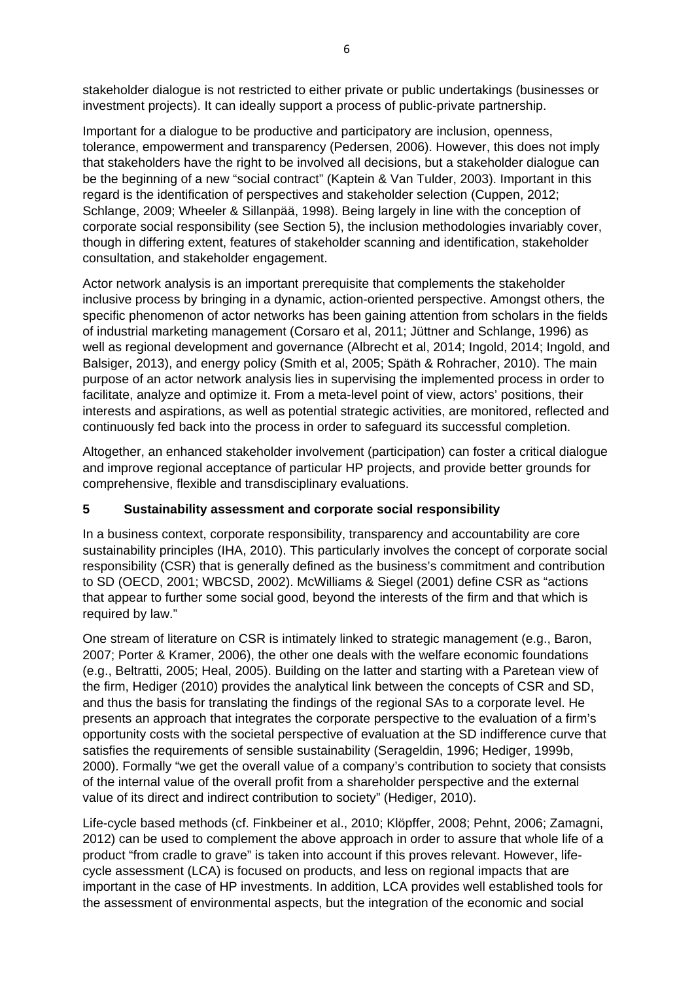stakeholder dialogue is not restricted to either private or public undertakings (businesses or investment projects). It can ideally support a process of public-private partnership.

Important for a dialogue to be productive and participatory are inclusion, openness, tolerance, empowerment and transparency (Pedersen, 2006). However, this does not imply that stakeholders have the right to be involved all decisions, but a stakeholder dialogue can be the beginning of a new "social contract" (Kaptein & Van Tulder, 2003). Important in this regard is the identification of perspectives and stakeholder selection (Cuppen, 2012; Schlange, 2009; Wheeler & Sillanpää, 1998). Being largely in line with the conception of corporate social responsibility (see Section 5), the inclusion methodologies invariably cover, though in differing extent, features of stakeholder scanning and identification, stakeholder consultation, and stakeholder engagement.

Actor network analysis is an important prerequisite that complements the stakeholder inclusive process by bringing in a dynamic, action-oriented perspective. Amongst others, the specific phenomenon of actor networks has been gaining attention from scholars in the fields of industrial marketing management (Corsaro et al, 2011; Jüttner and Schlange, 1996) as well as regional development and governance (Albrecht et al, 2014; Ingold, 2014; Ingold, and Balsiger, 2013), and energy policy (Smith et al, 2005; Späth & Rohracher, 2010). The main purpose of an actor network analysis lies in supervising the implemented process in order to facilitate, analyze and optimize it. From a meta-level point of view, actors' positions, their interests and aspirations, as well as potential strategic activities, are monitored, reflected and continuously fed back into the process in order to safeguard its successful completion.

Altogether, an enhanced stakeholder involvement (participation) can foster a critical dialogue and improve regional acceptance of particular HP projects, and provide better grounds for comprehensive, flexible and transdisciplinary evaluations.

# **5 Sustainability assessment and corporate social responsibility**

In a business context, corporate responsibility, transparency and accountability are core sustainability principles (IHA, 2010). This particularly involves the concept of corporate social responsibility (CSR) that is generally defined as the business's commitment and contribution to SD (OECD, 2001; WBCSD, 2002). McWilliams & Siegel (2001) define CSR as "actions that appear to further some social good, beyond the interests of the firm and that which is required by law."

One stream of literature on CSR is intimately linked to strategic management (e.g., Baron, 2007; Porter & Kramer, 2006), the other one deals with the welfare economic foundations (e.g., Beltratti, 2005; Heal, 2005). Building on the latter and starting with a Paretean view of the firm, Hediger (2010) provides the analytical link between the concepts of CSR and SD, and thus the basis for translating the findings of the regional SAs to a corporate level. He presents an approach that integrates the corporate perspective to the evaluation of a firm's opportunity costs with the societal perspective of evaluation at the SD indifference curve that satisfies the requirements of sensible sustainability (Serageldin, 1996; Hediger, 1999b, 2000). Formally "we get the overall value of a company's contribution to society that consists of the internal value of the overall profit from a shareholder perspective and the external value of its direct and indirect contribution to society" (Hediger, 2010).

Life-cycle based methods (cf. Finkbeiner et al., 2010; Klöpffer, 2008; Pehnt, 2006; Zamagni, 2012) can be used to complement the above approach in order to assure that whole life of a product "from cradle to grave" is taken into account if this proves relevant. However, lifecycle assessment (LCA) is focused on products, and less on regional impacts that are important in the case of HP investments. In addition, LCA provides well established tools for the assessment of environmental aspects, but the integration of the economic and social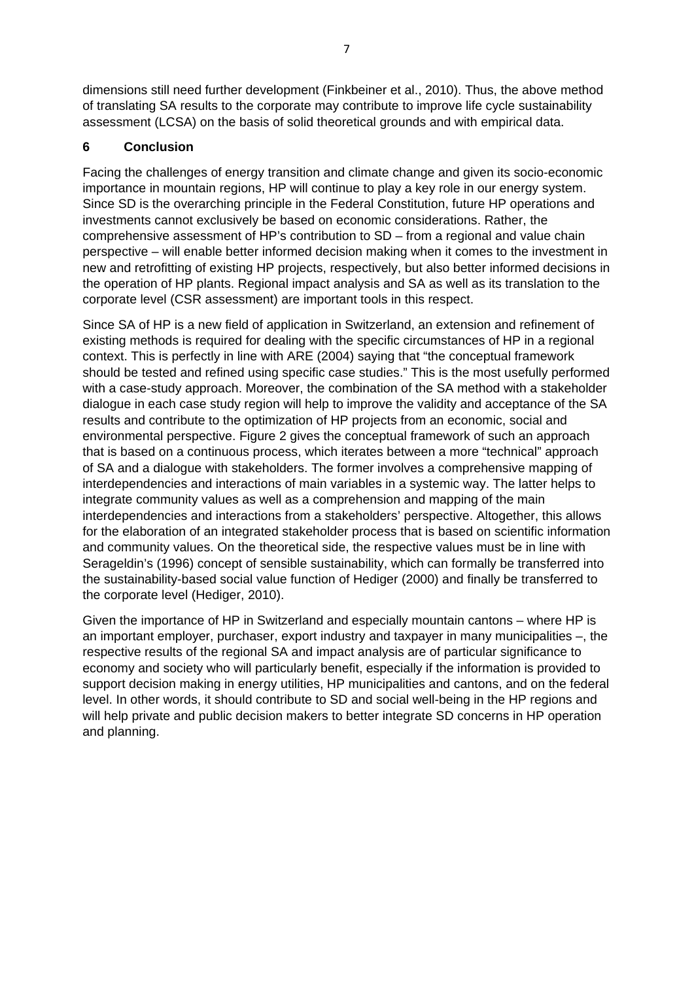dimensions still need further development (Finkbeiner et al., 2010). Thus, the above method of translating SA results to the corporate may contribute to improve life cycle sustainability assessment (LCSA) on the basis of solid theoretical grounds and with empirical data.

## **6 Conclusion**

Facing the challenges of energy transition and climate change and given its socio-economic importance in mountain regions, HP will continue to play a key role in our energy system. Since SD is the overarching principle in the Federal Constitution, future HP operations and investments cannot exclusively be based on economic considerations. Rather, the comprehensive assessment of HP's contribution to SD – from a regional and value chain perspective – will enable better informed decision making when it comes to the investment in new and retrofitting of existing HP projects, respectively, but also better informed decisions in the operation of HP plants. Regional impact analysis and SA as well as its translation to the corporate level (CSR assessment) are important tools in this respect.

Since SA of HP is a new field of application in Switzerland, an extension and refinement of existing methods is required for dealing with the specific circumstances of HP in a regional context. This is perfectly in line with ARE (2004) saying that "the conceptual framework should be tested and refined using specific case studies." This is the most usefully performed with a case-study approach. Moreover, the combination of the SA method with a stakeholder dialogue in each case study region will help to improve the validity and acceptance of the SA results and contribute to the optimization of HP projects from an economic, social and environmental perspective. Figure 2 gives the conceptual framework of such an approach that is based on a continuous process, which iterates between a more "technical" approach of SA and a dialogue with stakeholders. The former involves a comprehensive mapping of interdependencies and interactions of main variables in a systemic way. The latter helps to integrate community values as well as a comprehension and mapping of the main interdependencies and interactions from a stakeholders' perspective. Altogether, this allows for the elaboration of an integrated stakeholder process that is based on scientific information and community values. On the theoretical side, the respective values must be in line with Serageldin's (1996) concept of sensible sustainability, which can formally be transferred into the sustainability-based social value function of Hediger (2000) and finally be transferred to the corporate level (Hediger, 2010).

Given the importance of HP in Switzerland and especially mountain cantons – where HP is an important employer, purchaser, export industry and taxpayer in many municipalities –, the respective results of the regional SA and impact analysis are of particular significance to economy and society who will particularly benefit, especially if the information is provided to support decision making in energy utilities, HP municipalities and cantons, and on the federal level. In other words, it should contribute to SD and social well-being in the HP regions and will help private and public decision makers to better integrate SD concerns in HP operation and planning.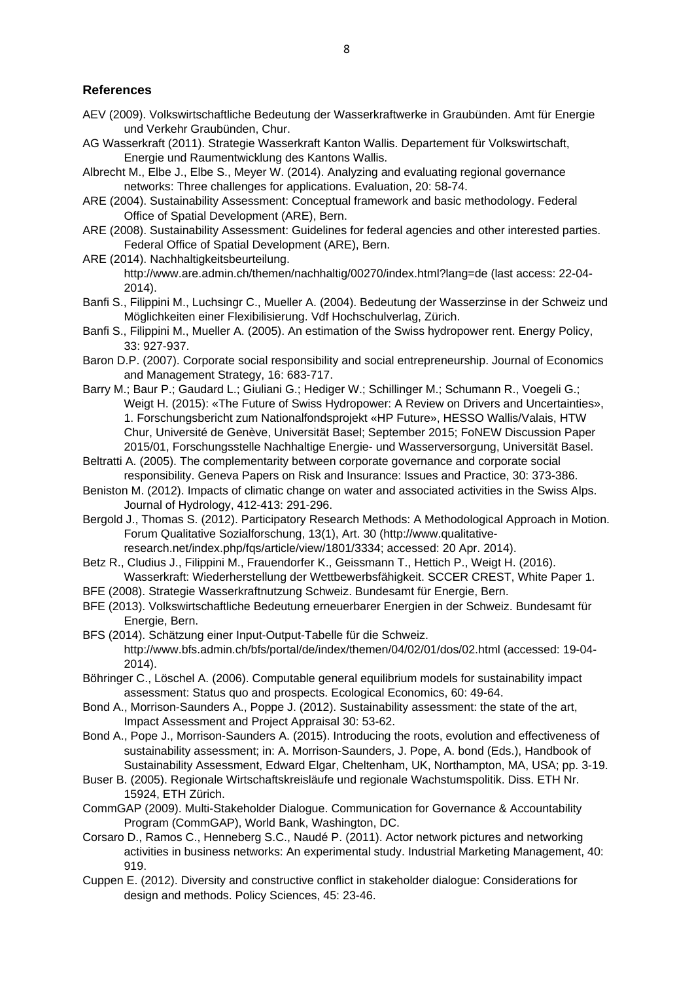#### **References**

- AEV (2009). Volkswirtschaftliche Bedeutung der Wasserkraftwerke in Graubünden. Amt für Energie und Verkehr Graubünden, Chur.
- AG Wasserkraft (2011). Strategie Wasserkraft Kanton Wallis. Departement für Volkswirtschaft, Energie und Raumentwicklung des Kantons Wallis.
- Albrecht M., Elbe J., Elbe S., Meyer W. (2014). Analyzing and evaluating regional governance networks: Three challenges for applications. Evaluation, 20: 58-74.
- ARE (2004). Sustainability Assessment: Conceptual framework and basic methodology. Federal Office of Spatial Development (ARE), Bern.
- ARE (2008). Sustainability Assessment: Guidelines for federal agencies and other interested parties. Federal Office of Spatial Development (ARE), Bern.
- ARE (2014). Nachhaltigkeitsbeurteilung. http://www.are.admin.ch/themen/nachhaltig/00270/index.html?lang=de (last access: 22-04- 2014).
- Banfi S., Filippini M., Luchsingr C., Mueller A. (2004). Bedeutung der Wasserzinse in der Schweiz und Möglichkeiten einer Flexibilisierung. Vdf Hochschulverlag, Zürich.
- Banfi S., Filippini M., Mueller A. (2005). An estimation of the Swiss hydropower rent. Energy Policy, 33: 927-937.
- Baron D.P. (2007). Corporate social responsibility and social entrepreneurship. Journal of Economics and Management Strategy, 16: 683-717.
- Barry M.; Baur P.; Gaudard L.; Giuliani G.; Hediger W.; Schillinger M.; Schumann R., Voegeli G.; Weigt H. (2015): «The Future of Swiss Hydropower: A Review on Drivers and Uncertainties», 1. Forschungsbericht zum Nationalfondsprojekt «HP Future», HESSO Wallis/Valais, HTW Chur, Université de Genève, Universität Basel; September 2015; FoNEW Discussion Paper 2015/01, Forschungsstelle Nachhaltige Energie- und Wasserversorgung, Universität Basel.
- Beltratti A. (2005). The complementarity between corporate governance and corporate social responsibility. Geneva Papers on Risk and Insurance: Issues and Practice, 30: 373-386.
- Beniston M. (2012). Impacts of climatic change on water and associated activities in the Swiss Alps. Journal of Hydrology, 412-413: 291-296.
- Bergold J., Thomas S. (2012). Participatory Research Methods: A Methodological Approach in Motion. Forum Qualitative Sozialforschung, 13(1), Art. 30 (http://www.qualitativeresearch.net/index.php/fqs/article/view/1801/3334; accessed: 20 Apr. 2014).
- Betz R., Cludius J., Filippini M., Frauendorfer K., Geissmann T., Hettich P., Weigt H. (2016). Wasserkraft: Wiederherstellung der Wettbewerbsfähigkeit. SCCER CREST, White Paper 1.
- BFE (2008). Strategie Wasserkraftnutzung Schweiz. Bundesamt für Energie, Bern.
- BFE (2013). Volkswirtschaftliche Bedeutung erneuerbarer Energien in der Schweiz. Bundesamt für Energie, Bern.
- BFS (2014). Schätzung einer Input-Output-Tabelle für die Schweiz. http://www.bfs.admin.ch/bfs/portal/de/index/themen/04/02/01/dos/02.html (accessed: 19-04- 2014).
- Böhringer C., Löschel A. (2006). Computable general equilibrium models for sustainability impact assessment: Status quo and prospects. Ecological Economics, 60: 49-64.
- Bond A., Morrison-Saunders A., Poppe J. (2012). Sustainability assessment: the state of the art, Impact Assessment and Project Appraisal 30: 53-62.
- Bond A., Pope J., Morrison-Saunders A. (2015). Introducing the roots, evolution and effectiveness of sustainability assessment; in: A. Morrison-Saunders, J. Pope, A. bond (Eds.), Handbook of Sustainability Assessment, Edward Elgar, Cheltenham, UK, Northampton, MA, USA; pp. 3-19.
- Buser B. (2005). Regionale Wirtschaftskreisläufe und regionale Wachstumspolitik. Diss. ETH Nr. 15924, ETH Zürich.
- CommGAP (2009). Multi-Stakeholder Dialogue. Communication for Governance & Accountability Program (CommGAP), World Bank, Washington, DC.
- Corsaro D., Ramos C., Henneberg S.C., Naudé P. (2011). Actor network pictures and networking activities in business networks: An experimental study. Industrial Marketing Management, 40: 919.
- Cuppen E. (2012). Diversity and constructive conflict in stakeholder dialogue: Considerations for design and methods. Policy Sciences, 45: 23-46.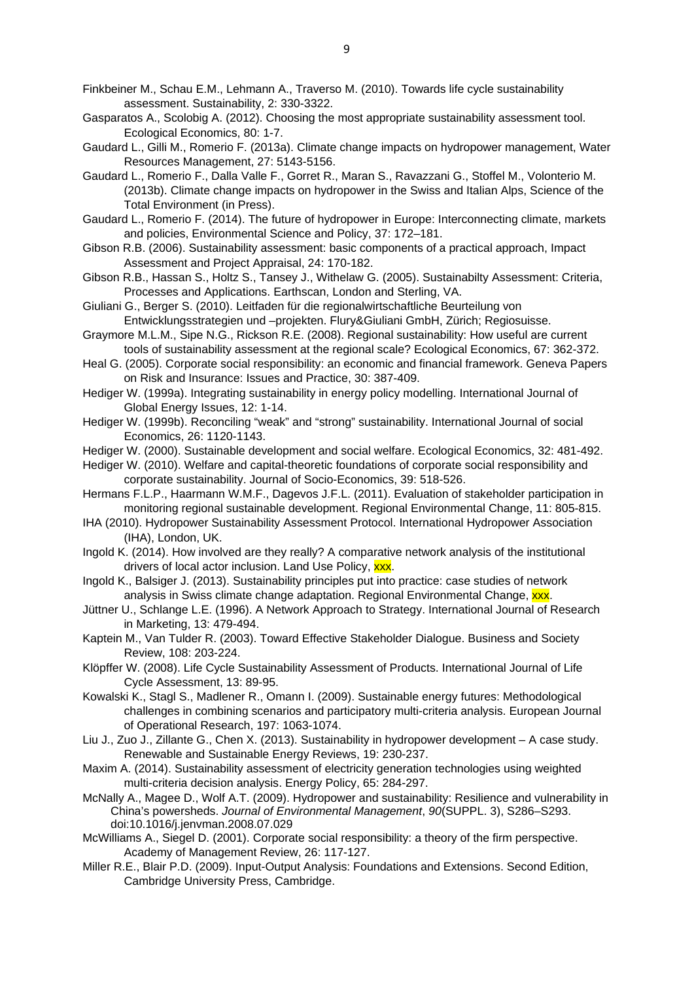Finkbeiner M., Schau E.M., Lehmann A., Traverso M. (2010). Towards life cycle sustainability assessment. Sustainability, 2: 330-3322.

- Gasparatos A., Scolobig A. (2012). Choosing the most appropriate sustainability assessment tool. Ecological Economics, 80: 1-7.
- Gaudard L., Gilli M., Romerio F. (2013a). Climate change impacts on hydropower management, Water Resources Management, 27: 5143-5156.
- Gaudard L., Romerio F., Dalla Valle F., Gorret R., Maran S., Ravazzani G., Stoffel M., Volonterio M. (2013b). Climate change impacts on hydropower in the Swiss and Italian Alps, Science of the Total Environment (in Press).
- Gaudard L., Romerio F. (2014). The future of hydropower in Europe: Interconnecting climate, markets and policies, Environmental Science and Policy, 37: 172–181.
- Gibson R.B. (2006). Sustainability assessment: basic components of a practical approach, Impact Assessment and Project Appraisal, 24: 170-182.
- Gibson R.B., Hassan S., Holtz S., Tansey J., Withelaw G. (2005). Sustainabilty Assessment: Criteria, Processes and Applications. Earthscan, London and Sterling, VA.
- Giuliani G., Berger S. (2010). Leitfaden für die regionalwirtschaftliche Beurteilung von Entwicklungsstrategien und –projekten. Flury&Giuliani GmbH, Zürich; Regiosuisse.
- Graymore M.L.M., Sipe N.G., Rickson R.E. (2008). Regional sustainability: How useful are current tools of sustainability assessment at the regional scale? Ecological Economics, 67: 362-372.
- Heal G. (2005). Corporate social responsibility: an economic and financial framework. Geneva Papers on Risk and Insurance: Issues and Practice, 30: 387-409.
- Hediger W. (1999a). Integrating sustainability in energy policy modelling. International Journal of Global Energy Issues, 12: 1-14.
- Hediger W. (1999b). Reconciling "weak" and "strong" sustainability. International Journal of social Economics, 26: 1120-1143.
- Hediger W. (2000). Sustainable development and social welfare. Ecological Economics, 32: 481-492.
- Hediger W. (2010). Welfare and capital-theoretic foundations of corporate social responsibility and corporate sustainability. Journal of Socio-Economics, 39: 518-526.
- Hermans F.L.P., Haarmann W.M.F., Dagevos J.F.L. (2011). Evaluation of stakeholder participation in monitoring regional sustainable development. Regional Environmental Change, 11: 805-815.
- IHA (2010). Hydropower Sustainability Assessment Protocol. International Hydropower Association (IHA), London, UK.
- Ingold K. (2014). How involved are they really? A comparative network analysis of the institutional drivers of local actor inclusion. Land Use Policy, xxx.
- Ingold K., Balsiger J. (2013). Sustainability principles put into practice: case studies of network analysis in Swiss climate change adaptation. Regional Environmental Change, **XXX**.
- Jüttner U., Schlange L.E. (1996). A Network Approach to Strategy. International Journal of Research in Marketing, 13: 479-494.
- Kaptein M., Van Tulder R. (2003). Toward Effective Stakeholder Dialogue. Business and Society Review, 108: 203-224.
- Klöpffer W. (2008). Life Cycle Sustainability Assessment of Products. International Journal of Life Cycle Assessment, 13: 89-95.
- Kowalski K., Stagl S., Madlener R., Omann I. (2009). Sustainable energy futures: Methodological challenges in combining scenarios and participatory multi-criteria analysis. European Journal of Operational Research, 197: 1063-1074.
- Liu J., Zuo J., Zillante G., Chen X. (2013). Sustainability in hydropower development A case study. Renewable and Sustainable Energy Reviews, 19: 230-237.
- Maxim A. (2014). Sustainability assessment of electricity generation technologies using weighted multi-criteria decision analysis. Energy Policy, 65: 284-297.
- McNally A., Magee D., Wolf A.T. (2009). Hydropower and sustainability: Resilience and vulnerability in China's powersheds. *Journal of Environmental Management*, *90*(SUPPL. 3), S286–S293. doi:10.1016/j.jenvman.2008.07.029
- McWilliams A., Siegel D. (2001). Corporate social responsibility: a theory of the firm perspective. Academy of Management Review, 26: 117-127.
- Miller R.E., Blair P.D. (2009). Input-Output Analysis: Foundations and Extensions. Second Edition, Cambridge University Press, Cambridge.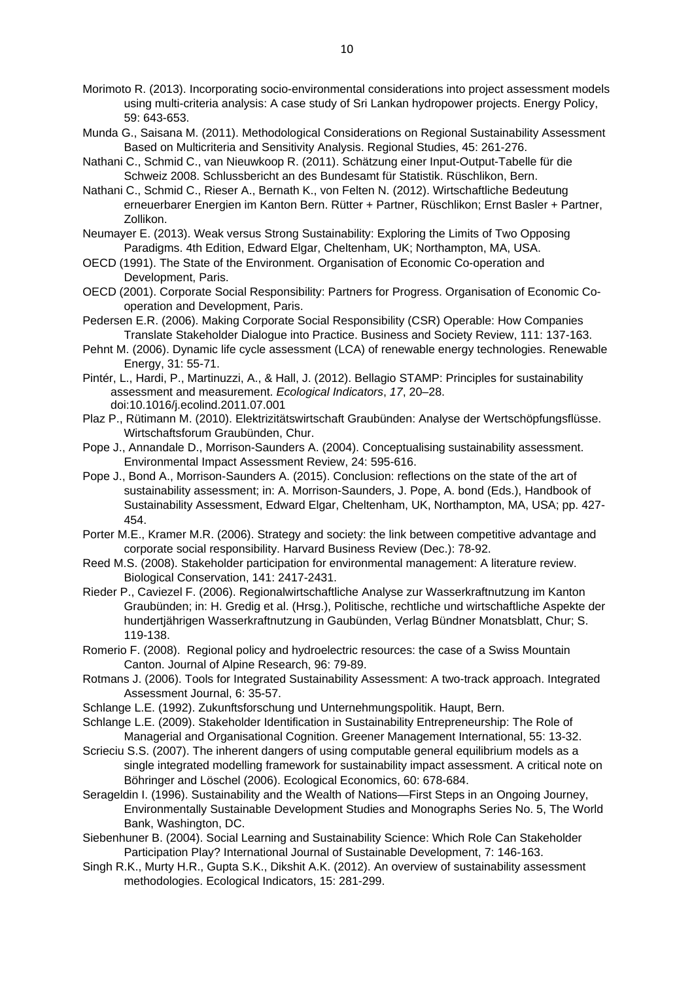- Morimoto R. (2013). Incorporating socio-environmental considerations into project assessment models using multi-criteria analysis: A case study of Sri Lankan hydropower projects. Energy Policy, 59: 643-653.
- Munda G., Saisana M. (2011). Methodological Considerations on Regional Sustainability Assessment Based on Multicriteria and Sensitivity Analysis. Regional Studies, 45: 261-276.
- Nathani C., Schmid C., van Nieuwkoop R. (2011). Schätzung einer Input-Output-Tabelle für die Schweiz 2008. Schlussbericht an des Bundesamt für Statistik. Rüschlikon, Bern.
- Nathani C., Schmid C., Rieser A., Bernath K., von Felten N. (2012). Wirtschaftliche Bedeutung erneuerbarer Energien im Kanton Bern. Rütter + Partner, Rüschlikon; Ernst Basler + Partner, Zollikon.
- Neumayer E. (2013). Weak versus Strong Sustainability: Exploring the Limits of Two Opposing Paradigms. 4th Edition, Edward Elgar, Cheltenham, UK; Northampton, MA, USA.
- OECD (1991). The State of the Environment. Organisation of Economic Co-operation and Development, Paris.
- OECD (2001). Corporate Social Responsibility: Partners for Progress. Organisation of Economic Cooperation and Development, Paris.
- Pedersen E.R. (2006). Making Corporate Social Responsibility (CSR) Operable: How Companies Translate Stakeholder Dialogue into Practice. Business and Society Review, 111: 137-163.
- Pehnt M. (2006). Dynamic life cycle assessment (LCA) of renewable energy technologies. Renewable Energy, 31: 55-71.
- Pintér, L., Hardi, P., Martinuzzi, A., & Hall, J. (2012). Bellagio STAMP: Principles for sustainability assessment and measurement. *Ecological Indicators*, *17*, 20–28. doi:10.1016/j.ecolind.2011.07.001
- Plaz P., Rütimann M. (2010). Elektrizitätswirtschaft Graubünden: Analyse der Wertschöpfungsflüsse. Wirtschaftsforum Graubünden, Chur.
- Pope J., Annandale D., Morrison-Saunders A. (2004). Conceptualising sustainability assessment. Environmental Impact Assessment Review, 24: 595-616.
- Pope J., Bond A., Morrison-Saunders A. (2015). Conclusion: reflections on the state of the art of sustainability assessment; in: A. Morrison-Saunders, J. Pope, A. bond (Eds.), Handbook of Sustainability Assessment, Edward Elgar, Cheltenham, UK, Northampton, MA, USA; pp. 427- 454.
- Porter M.E., Kramer M.R. (2006). Strategy and society: the link between competitive advantage and corporate social responsibility. Harvard Business Review (Dec.): 78-92.
- Reed M.S. (2008). Stakeholder participation for environmental management: A literature review. Biological Conservation, 141: 2417-2431.
- Rieder P., Caviezel F. (2006). Regionalwirtschaftliche Analyse zur Wasserkraftnutzung im Kanton Graubünden; in: H. Gredig et al. (Hrsg.), Politische, rechtliche und wirtschaftliche Aspekte der hundertjährigen Wasserkraftnutzung in Gaubünden, Verlag Bündner Monatsblatt, Chur; S. 119-138.
- Romerio F. (2008). Regional policy and hydroelectric resources: the case of a Swiss Mountain Canton. Journal of Alpine Research, 96: 79-89.
- Rotmans J. (2006). Tools for Integrated Sustainability Assessment: A two-track approach. Integrated Assessment Journal, 6: 35-57.
- Schlange L.E. (1992). Zukunftsforschung und Unternehmungspolitik. Haupt, Bern.
- Schlange L.E. (2009). Stakeholder Identification in Sustainability Entrepreneurship: The Role of Managerial and Organisational Cognition. Greener Management International, 55: 13-32.
- Scrieciu S.S. (2007). The inherent dangers of using computable general equilibrium models as a single integrated modelling framework for sustainability impact assessment. A critical note on Böhringer and Löschel (2006). Ecological Economics, 60: 678-684.
- Serageldin I. (1996). Sustainability and the Wealth of Nations—First Steps in an Ongoing Journey, Environmentally Sustainable Development Studies and Monographs Series No. 5, The World Bank, Washington, DC.
- Siebenhuner B. (2004). Social Learning and Sustainability Science: Which Role Can Stakeholder Participation Play? International Journal of Sustainable Development, 7: 146-163.
- Singh R.K., Murty H.R., Gupta S.K., Dikshit A.K. (2012). An overview of sustainability assessment methodologies. Ecological Indicators, 15: 281-299.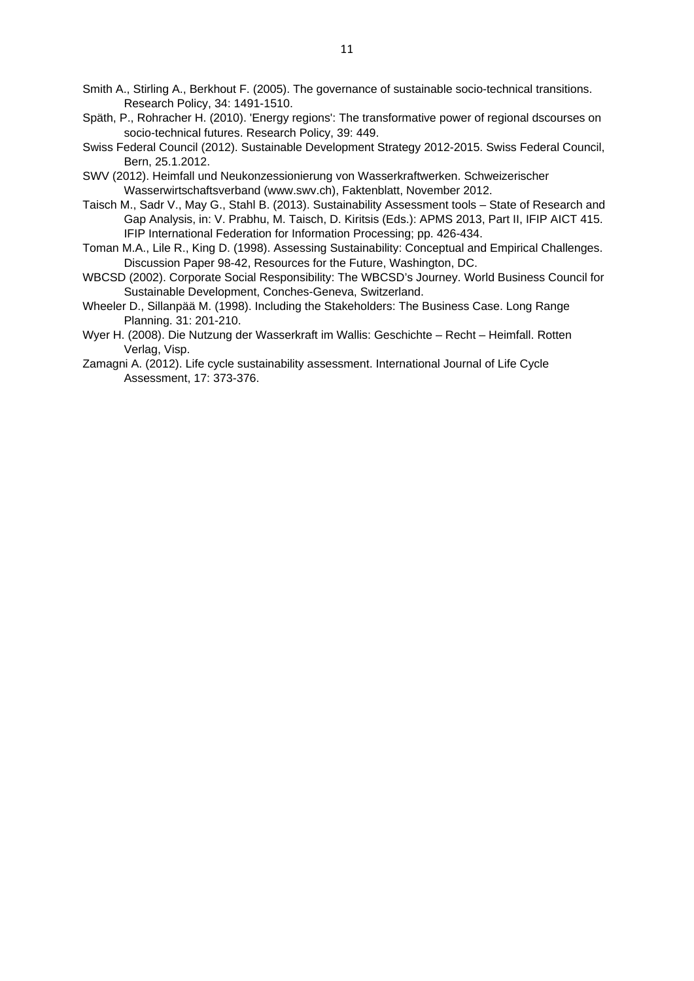- Smith A., Stirling A., Berkhout F. (2005). The governance of sustainable socio-technical transitions. Research Policy, 34: 1491-1510.
- Späth, P., Rohracher H. (2010). 'Energy regions': The transformative power of regional dscourses on socio-technical futures. Research Policy, 39: 449.
- Swiss Federal Council (2012). Sustainable Development Strategy 2012-2015. Swiss Federal Council, Bern, 25.1.2012.
- SWV (2012). Heimfall und Neukonzessionierung von Wasserkraftwerken. Schweizerischer Wasserwirtschaftsverband (www.swv.ch), Faktenblatt, November 2012.
- Taisch M., Sadr V., May G., Stahl B. (2013). Sustainability Assessment tools State of Research and Gap Analysis, in: V. Prabhu, M. Taisch, D. Kiritsis (Eds.): APMS 2013, Part II, IFIP AICT 415. IFIP International Federation for Information Processing; pp. 426-434.
- Toman M.A., Lile R., King D. (1998). Assessing Sustainability: Conceptual and Empirical Challenges. Discussion Paper 98-42, Resources for the Future, Washington, DC.
- WBCSD (2002). Corporate Social Responsibility: The WBCSD's Journey. World Business Council for Sustainable Development, Conches-Geneva, Switzerland.
- Wheeler D., Sillanpää M. (1998). Including the Stakeholders: The Business Case. Long Range Planning. 31: 201-210.
- Wyer H. (2008). Die Nutzung der Wasserkraft im Wallis: Geschichte Recht Heimfall. Rotten Verlag, Visp.
- Zamagni A. (2012). Life cycle sustainability assessment. International Journal of Life Cycle Assessment, 17: 373-376.